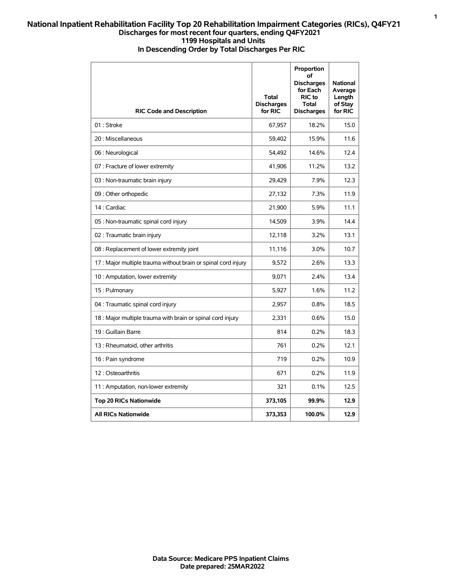## **National Inpatient Rehabilitation Facility Top 20 Rehabilitation Impairment Categories (RICs), Q4FY21 Discharges for most recent four quarters, ending Q4FY2021 1199 Hospitals and Units In Descending Order by Total Discharges Per RIC**

| <b>RIC Code and Description</b>                                | Total<br><b>Discharges</b><br>for RIC | Proportion<br>оf<br><b>Discharges</b><br>for Each<br>RIC to<br>Total<br><b>Discharges</b> | <b>National</b><br>Average<br>Length<br>of Stay<br>for RIC |
|----------------------------------------------------------------|---------------------------------------|-------------------------------------------------------------------------------------------|------------------------------------------------------------|
| 01 : Stroke                                                    | 67,957                                | 18.2%                                                                                     | 15.0                                                       |
| 20 : Miscellaneous                                             | 59,402                                | 15.9%                                                                                     | 11.6                                                       |
| 06 : Neurological                                              | 54,492                                | 14.6%                                                                                     | 12.4                                                       |
| 07 : Fracture of lower extremity                               | 41,906                                | 11.2%                                                                                     | 13.2                                                       |
| 03 : Non-traumatic brain injury                                | 29,429                                | 7.9%                                                                                      | 12.3                                                       |
| 09 : Other orthopedic                                          | 27,132                                | 7.3%                                                                                      | 11.9                                                       |
| 14 : Cardiac                                                   | 21,900                                | 5.9%                                                                                      | 11.1                                                       |
| 05 : Non-traumatic spinal cord injury                          | 14,509                                | 3.9%                                                                                      | 14.4                                                       |
| 02 : Traumatic brain injury                                    | 12,118                                | 3.2%                                                                                      | 13.1                                                       |
| 08 : Replacement of lower extremity joint                      | 11,116                                | 3.0%                                                                                      | 10.7                                                       |
| 17 : Major multiple trauma without brain or spinal cord injury | 9,572                                 | 2.6%                                                                                      | 13.3                                                       |
| 10 : Amputation, lower extremity                               | 9,071                                 | 2.4%                                                                                      | 13.4                                                       |
| 15: Pulmonary                                                  | 5,927                                 | 1.6%                                                                                      | 11.2                                                       |
| 04 : Traumatic spinal cord injury                              | 2,957                                 | 0.8%                                                                                      | 18.5                                                       |
| 18 : Major multiple trauma with brain or spinal cord injury    | 2,331                                 | 0.6%                                                                                      | 15.0                                                       |
| 19 : Guillain Barre                                            | 814                                   | 0.2%                                                                                      | 18.3                                                       |
| 13 : Rheumatoid, other arthritis                               | 761                                   | 0.2%                                                                                      | 12.1                                                       |
| 16 : Pain syndrome                                             | 719                                   | 0.2%                                                                                      | 10.9                                                       |
| 12: Osteoarthritis                                             | 671                                   | 0.2%                                                                                      | 11.9                                                       |
| 11 : Amputation, non-lower extremity                           | 321                                   | 0.1%                                                                                      | 12.5                                                       |
| <b>Top 20 RICs Nationwide</b>                                  | 373,105                               | 99.9%                                                                                     | 12.9                                                       |
| <b>All RICs Nationwide</b>                                     | 373,353                               | 100.0%                                                                                    | 12.9                                                       |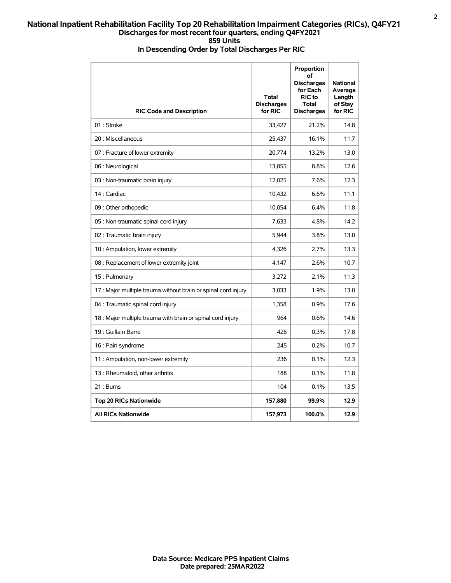## **National Inpatient Rehabilitation Facility Top 20 Rehabilitation Impairment Categories (RICs), Q4FY21 Discharges for most recent four quarters, ending Q4FY2021 859 Units In Descending Order by Total Discharges Per RIC**

| <b>RIC Code and Description</b>                                | <b>Total</b><br><b>Discharges</b><br>for RIC | Proportion<br>of<br><b>Discharges</b><br>for Each<br><b>RIC</b> to<br><b>Total</b><br><b>Discharges</b> | <b>National</b><br>Average<br>Length<br>of Stay<br>for RIC |
|----------------------------------------------------------------|----------------------------------------------|---------------------------------------------------------------------------------------------------------|------------------------------------------------------------|
| 01: Stroke                                                     | 33,427                                       | 21.2%                                                                                                   | 14.8                                                       |
| 20 : Miscellaneous                                             | 25,437                                       | 16.1%                                                                                                   | 11.7                                                       |
| 07 : Fracture of lower extremity                               | 20,774                                       | 13.2%                                                                                                   | 13.0                                                       |
| 06 : Neurological                                              | 13,855                                       | 8.8%                                                                                                    | 12.6                                                       |
| 03 : Non-traumatic brain injury                                | 12,025                                       | 7.6%                                                                                                    | 12.3                                                       |
| 14 : Cardiac                                                   | 10,432                                       | 6.6%                                                                                                    | 11.1                                                       |
| 09 : Other orthopedic                                          | 10,054                                       | 6.4%                                                                                                    | 11.8                                                       |
| 05 : Non-traumatic spinal cord injury                          | 7,633                                        | 4.8%                                                                                                    | 14.2                                                       |
| 02 : Traumatic brain injury                                    | 5,944                                        | 3.8%                                                                                                    | 13.0                                                       |
| 10 : Amputation, lower extremity                               | 4,326                                        | 2.7%                                                                                                    | 13.3                                                       |
| 08 : Replacement of lower extremity joint                      | 4,147                                        | 2.6%                                                                                                    | 10.7                                                       |
| 15: Pulmonary                                                  | 3.272                                        | 2.1%                                                                                                    | 11.3                                                       |
| 17 : Major multiple trauma without brain or spinal cord injury | 3,033                                        | 1.9%                                                                                                    | 13.0                                                       |
| 04 : Traumatic spinal cord injury                              | 1,358                                        | 0.9%                                                                                                    | 17.6                                                       |
| 18 : Major multiple trauma with brain or spinal cord injury    | 964                                          | 0.6%                                                                                                    | 14.6                                                       |
| 19 : Guillain Barre                                            | 426                                          | 0.3%                                                                                                    | 17.8                                                       |
| 16 : Pain syndrome                                             | 245                                          | 0.2%                                                                                                    | 10.7                                                       |
| 11 : Amputation, non-lower extremity                           | 236                                          | 0.1%                                                                                                    | 12.3                                                       |
| 13 : Rheumatoid, other arthritis                               | 188                                          | 0.1%                                                                                                    | 11.8                                                       |
| 21: Bums                                                       | 104                                          | 0.1%                                                                                                    | 13.5                                                       |
| <b>Top 20 RICs Nationwide</b>                                  | 157,880                                      | 99.9%                                                                                                   | 12.9                                                       |
| <b>All RICs Nationwide</b>                                     | 157,973                                      | 100.0%                                                                                                  | 12.9                                                       |